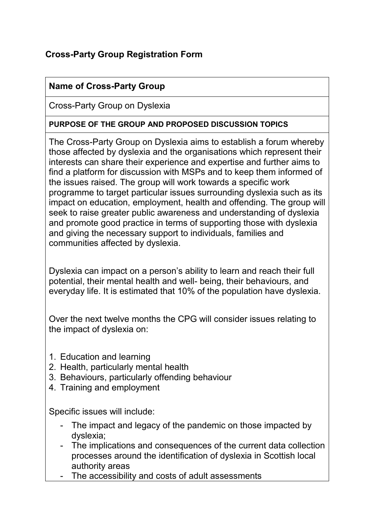## **Cross-Party Group Registration Form**

#### **Name of Cross-Party Group**

Cross-Party Group on Dyslexia

#### **PURPOSE OF THE GROUP AND PROPOSED DISCUSSION TOPICS**

The Cross-Party Group on Dyslexia aims to establish a forum whereby those affected by dyslexia and the organisations which represent their interests can share their experience and expertise and further aims to find a platform for discussion with MSPs and to keep them informed of the issues raised. The group will work towards a specific work programme to target particular issues surrounding dyslexia such as its impact on education, employment, health and offending. The group will seek to raise greater public awareness and understanding of dyslexia and promote good practice in terms of supporting those with dyslexia and giving the necessary support to individuals, families and communities affected by dyslexia.

Dyslexia can impact on a person's ability to learn and reach their full potential, their mental health and well- being, their behaviours, and everyday life. It is estimated that 10% of the population have dyslexia.

Over the next twelve months the CPG will consider issues relating to the impact of dyslexia on:

- 1. Education and learning
- 2. Health, particularly mental health
- 3. Behaviours, particularly offending behaviour
- 4. Training and employment

Specific issues will include:

- The impact and legacy of the pandemic on those impacted by dyslexia;
- The implications and consequences of the current data collection processes around the identification of dyslexia in Scottish local authority areas
- The accessibility and costs of adult assessments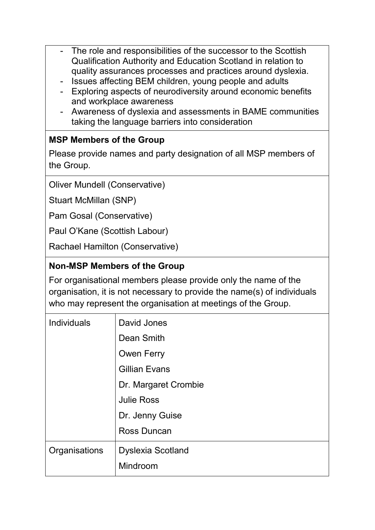- The role and responsibilities of the successor to the Scottish Qualification Authority and Education Scotland in relation to quality assurances processes and practices around dyslexia.
- Issues affecting BEM children, young people and adults
- Exploring aspects of neurodiversity around economic benefits and workplace awareness
- Awareness of dyslexia and assessments in BAME communities taking the language barriers into consideration

## **MSP Members of the Group**

Please provide names and party designation of all MSP members of the Group.

Oliver Mundell (Conservative)

Stuart McMillan (SNP)

Pam Gosal (Conservative)

Paul O'Kane (Scottish Labour)

Rachael Hamilton (Conservative)

#### **Non-MSP Members of the Group**

For organisational members please provide only the name of the organisation, it is not necessary to provide the name(s) of individuals who may represent the organisation at meetings of the Group.

| Individuals   | David Jones              |
|---------------|--------------------------|
|               | Dean Smith               |
|               | <b>Owen Ferry</b>        |
|               | <b>Gillian Evans</b>     |
|               | Dr. Margaret Crombie     |
|               | <b>Julie Ross</b>        |
|               | Dr. Jenny Guise          |
|               | Ross Duncan              |
| Organisations | <b>Dyslexia Scotland</b> |
|               | Mindroom                 |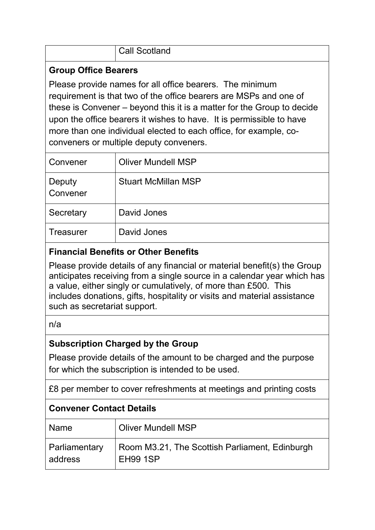| <b>Call Scotland</b><br>- 1 |
|-----------------------------|
|                             |

#### **Group Office Bearers**

Please provide names for all office bearers. The minimum requirement is that two of the office bearers are MSPs and one of these is Convener – beyond this it is a matter for the Group to decide upon the office bearers it wishes to have. It is permissible to have more than one individual elected to each office, for example, coconveners or multiple deputy conveners.

| Convener           | <b>Oliver Mundell MSP</b>  |
|--------------------|----------------------------|
| Deputy<br>Convener | <b>Stuart McMillan MSP</b> |
| Secretary          | David Jones                |
| <b>Treasurer</b>   | David Jones                |

### **Financial Benefits or Other Benefits**

Please provide details of any financial or material benefit(s) the Group anticipates receiving from a single source in a calendar year which has a value, either singly or cumulatively, of more than £500. This includes donations, gifts, hospitality or visits and material assistance such as secretariat support.

#### n/a

## **Subscription Charged by the Group**

Please provide details of the amount to be charged and the purpose for which the subscription is intended to be used.

£8 per member to cover refreshments at meetings and printing costs

# **Convener Contact Details**

| Name                     | Oliver Mundell MSP                                                |
|--------------------------|-------------------------------------------------------------------|
| Parliamentary<br>address | Room M3.21, The Scottish Parliament, Edinburgh<br><b>EH99 1SP</b> |